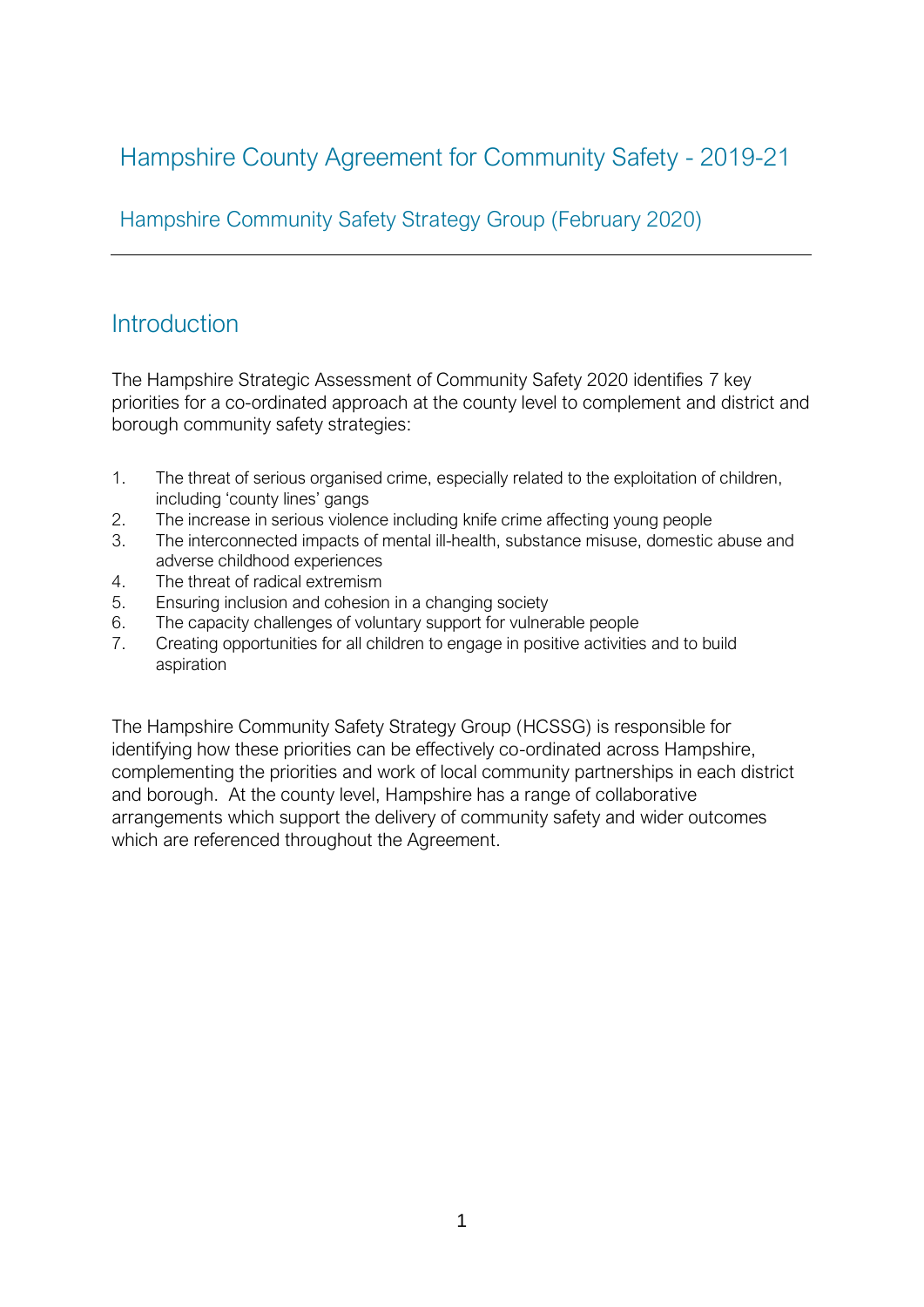# Hampshire County Agreement for Community Safety - 2019-21

Hampshire Community Safety Strategy Group (February 2020)

# **Introduction**

The Hampshire Strategic Assessment of Community Safety 2020 identifies 7 key priorities for a co-ordinated approach at the county level to complement and district and borough community safety strategies:

- 1. The threat of serious organised crime, especially related to the exploitation of children, including 'county lines' gangs
- 2. The increase in serious violence including knife crime affecting young people
- 3. The interconnected impacts of mental ill-health, substance misuse, domestic abuse and adverse childhood experiences
- 4. The threat of radical extremism
- 5. Ensuring inclusion and cohesion in a changing society
- 6. The capacity challenges of voluntary support for vulnerable people
- 7. Creating opportunities for all children to engage in positive activities and to build aspiration

The Hampshire Community Safety Strategy Group (HCSSG) is responsible for identifying how these priorities can be effectively co-ordinated across Hampshire, complementing the priorities and work of local community partnerships in each district and borough. At the county level, Hampshire has a range of collaborative arrangements which support the delivery of community safety and wider outcomes which are referenced throughout the Agreement.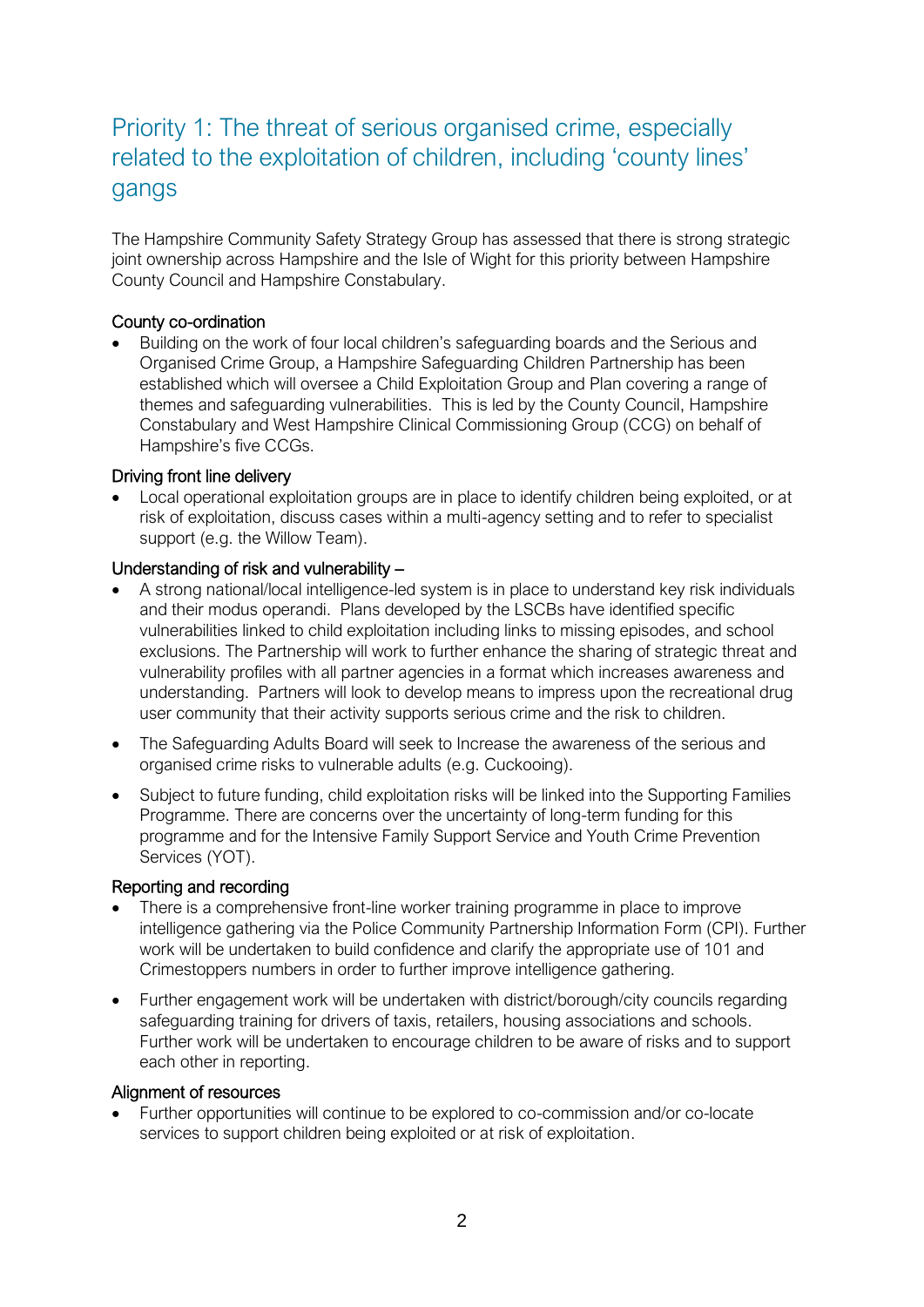# Priority 1: The threat of serious organised crime, especially related to the exploitation of children, including 'county lines' gangs

The Hampshire Community Safety Strategy Group has assessed that there is strong strategic joint ownership across Hampshire and the Isle of Wight for this priority between Hampshire County Council and Hampshire Constabulary.

# County co-ordination

• Building on the work of four local children's safeguarding boards and the Serious and Organised Crime Group, a Hampshire Safeguarding Children Partnership has been established which will oversee a Child Exploitation Group and Plan covering a range of themes and safeguarding vulnerabilities. This is led by the County Council, Hampshire Constabulary and West Hampshire Clinical Commissioning Group (CCG) on behalf of Hampshire's five CCGs.

## Driving front line delivery

• Local operational exploitation groups are in place to identify children being exploited, or at risk of exploitation, discuss cases within a multi-agency setting and to refer to specialist support (e.g. the Willow Team).

# Understanding of risk and vulnerability –

- A strong national/local intelligence-led system is in place to understand key risk individuals and their modus operandi. Plans developed by the LSCBs have identified specific vulnerabilities linked to child exploitation including links to missing episodes, and school exclusions. The Partnership will work to further enhance the sharing of strategic threat and vulnerability profiles with all partner agencies in a format which increases awareness and understanding. Partners will look to develop means to impress upon the recreational drug user community that their activity supports serious crime and the risk to children.
- The Safeguarding Adults Board will seek to Increase the awareness of the serious and organised crime risks to vulnerable adults (e.g. Cuckooing).
- Subject to future funding, child exploitation risks will be linked into the Supporting Families Programme. There are concerns over the uncertainty of long-term funding for this programme and for the Intensive Family Support Service and Youth Crime Prevention Services (YOT).

## Reporting and recording

- There is a comprehensive front-line worker training programme in place to improve intelligence gathering via the Police Community Partnership Information Form (CPI). Further work will be undertaken to build confidence and clarify the appropriate use of 101 and Crimestoppers numbers in order to further improve intelligence gathering.
- Further engagement work will be undertaken with district/borough/city councils regarding safeguarding training for drivers of taxis, retailers, housing associations and schools. Further work will be undertaken to encourage children to be aware of risks and to support each other in reporting.

## Alignment of resources

• Further opportunities will continue to be explored to co-commission and/or co-locate services to support children being exploited or at risk of exploitation.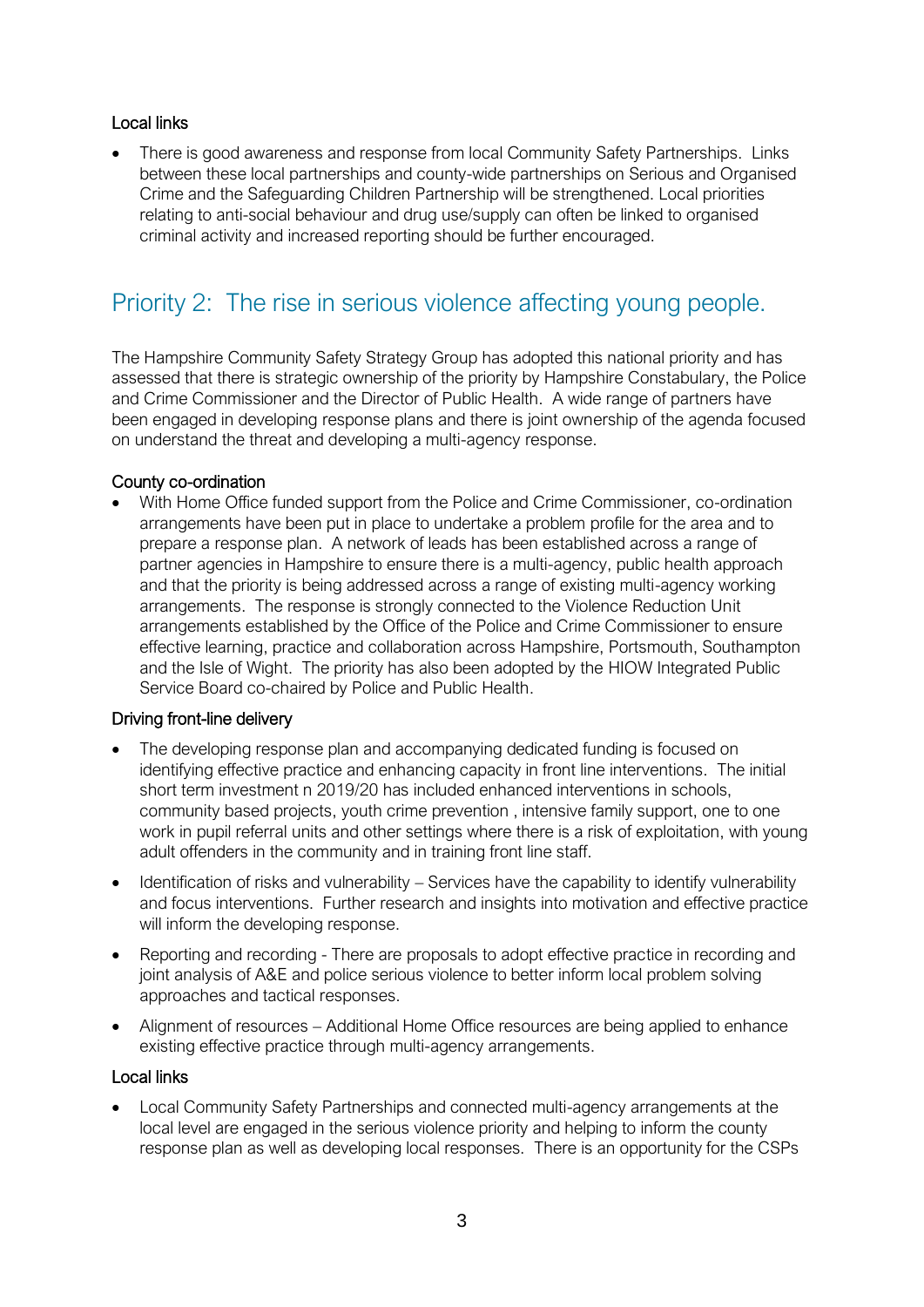# Local links

• There is good awareness and response from local Community Safety Partnerships. Links between these local partnerships and county-wide partnerships on Serious and Organised Crime and the Safeguarding Children Partnership will be strengthened. Local priorities relating to anti-social behaviour and drug use/supply can often be linked to organised criminal activity and increased reporting should be further encouraged.

# Priority 2: The rise in serious violence affecting young people.

The Hampshire Community Safety Strategy Group has adopted this national priority and has assessed that there is strategic ownership of the priority by Hampshire Constabulary, the Police and Crime Commissioner and the Director of Public Health. A wide range of partners have been engaged in developing response plans and there is joint ownership of the agenda focused on understand the threat and developing a multi-agency response.

# County co-ordination

• With Home Office funded support from the Police and Crime Commissioner, co-ordination arrangements have been put in place to undertake a problem profile for the area and to prepare a response plan. A network of leads has been established across a range of partner agencies in Hampshire to ensure there is a multi-agency, public health approach and that the priority is being addressed across a range of existing multi-agency working arrangements. The response is strongly connected to the Violence Reduction Unit arrangements established by the Office of the Police and Crime Commissioner to ensure effective learning, practice and collaboration across Hampshire, Portsmouth, Southampton and the Isle of Wight. The priority has also been adopted by the HIOW Integrated Public Service Board co-chaired by Police and Public Health.

## Driving front-line delivery

- The developing response plan and accompanying dedicated funding is focused on identifying effective practice and enhancing capacity in front line interventions. The initial short term investment n 2019/20 has included enhanced interventions in schools, community based projects, youth crime prevention , intensive family support, one to one work in pupil referral units and other settings where there is a risk of exploitation, with young adult offenders in the community and in training front line staff.
- Identification of risks and vulnerability Services have the capability to identify vulnerability and focus interventions. Further research and insights into motivation and effective practice will inform the developing response.
- Reporting and recording There are proposals to adopt effective practice in recording and joint analysis of A&E and police serious violence to better inform local problem solving approaches and tactical responses.
- Alignment of resources Additional Home Office resources are being applied to enhance existing effective practice through multi-agency arrangements.

## Local links

• Local Community Safety Partnerships and connected multi-agency arrangements at the local level are engaged in the serious violence priority and helping to inform the county response plan as well as developing local responses. There is an opportunity for the CSPs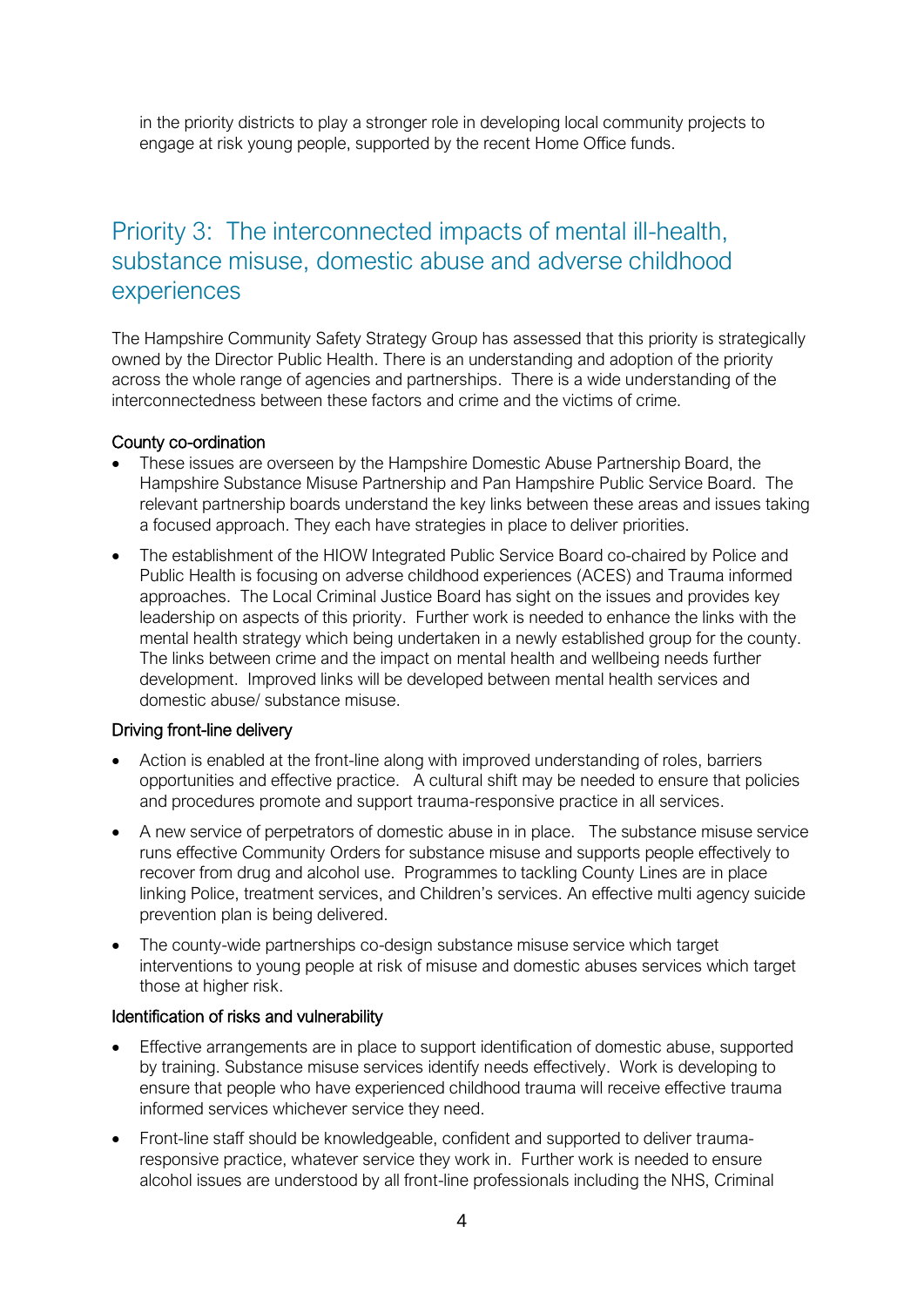in the priority districts to play a stronger role in developing local community projects to engage at risk young people, supported by the recent Home Office funds.

# Priority 3: The interconnected impacts of mental ill-health, substance misuse, domestic abuse and adverse childhood experiences

The Hampshire Community Safety Strategy Group has assessed that this priority is strategically owned by the Director Public Health. There is an understanding and adoption of the priority across the whole range of agencies and partnerships. There is a wide understanding of the interconnectedness between these factors and crime and the victims of crime.

#### County co-ordination

- These issues are overseen by the Hampshire Domestic Abuse Partnership Board, the Hampshire Substance Misuse Partnership and Pan Hampshire Public Service Board. The relevant partnership boards understand the key links between these areas and issues taking a focused approach. They each have strategies in place to deliver priorities.
- The establishment of the HIOW Integrated Public Service Board co-chaired by Police and Public Health is focusing on adverse childhood experiences (ACES) and Trauma informed approaches. The Local Criminal Justice Board has sight on the issues and provides key leadership on aspects of this priority. Further work is needed to enhance the links with the mental health strategy which being undertaken in a newly established group for the county. The links between crime and the impact on mental health and wellbeing needs further development. Improved links will be developed between mental health services and domestic abuse/ substance misuse.

## Driving front-line delivery

- Action is enabled at the front-line along with improved understanding of roles, barriers opportunities and effective practice. A cultural shift may be needed to ensure that policies and procedures promote and support trauma-responsive practice in all services.
- A new service of perpetrators of domestic abuse in in place. The substance misuse service runs effective Community Orders for substance misuse and supports people effectively to recover from drug and alcohol use. Programmes to tackling County Lines are in place linking Police, treatment services, and Children's services. An effective multi agency suicide prevention plan is being delivered.
- The county-wide partnerships co-design substance misuse service which target interventions to young people at risk of misuse and domestic abuses services which target those at higher risk.

#### Identification of risks and vulnerability

- Effective arrangements are in place to support identification of domestic abuse, supported by training. Substance misuse services identify needs effectively. Work is developing to ensure that people who have experienced childhood trauma will receive effective trauma informed services whichever service they need.
- Front-line staff should be knowledgeable, confident and supported to deliver traumaresponsive practice, whatever service they work in. Further work is needed to ensure alcohol issues are understood by all front-line professionals including the NHS, Criminal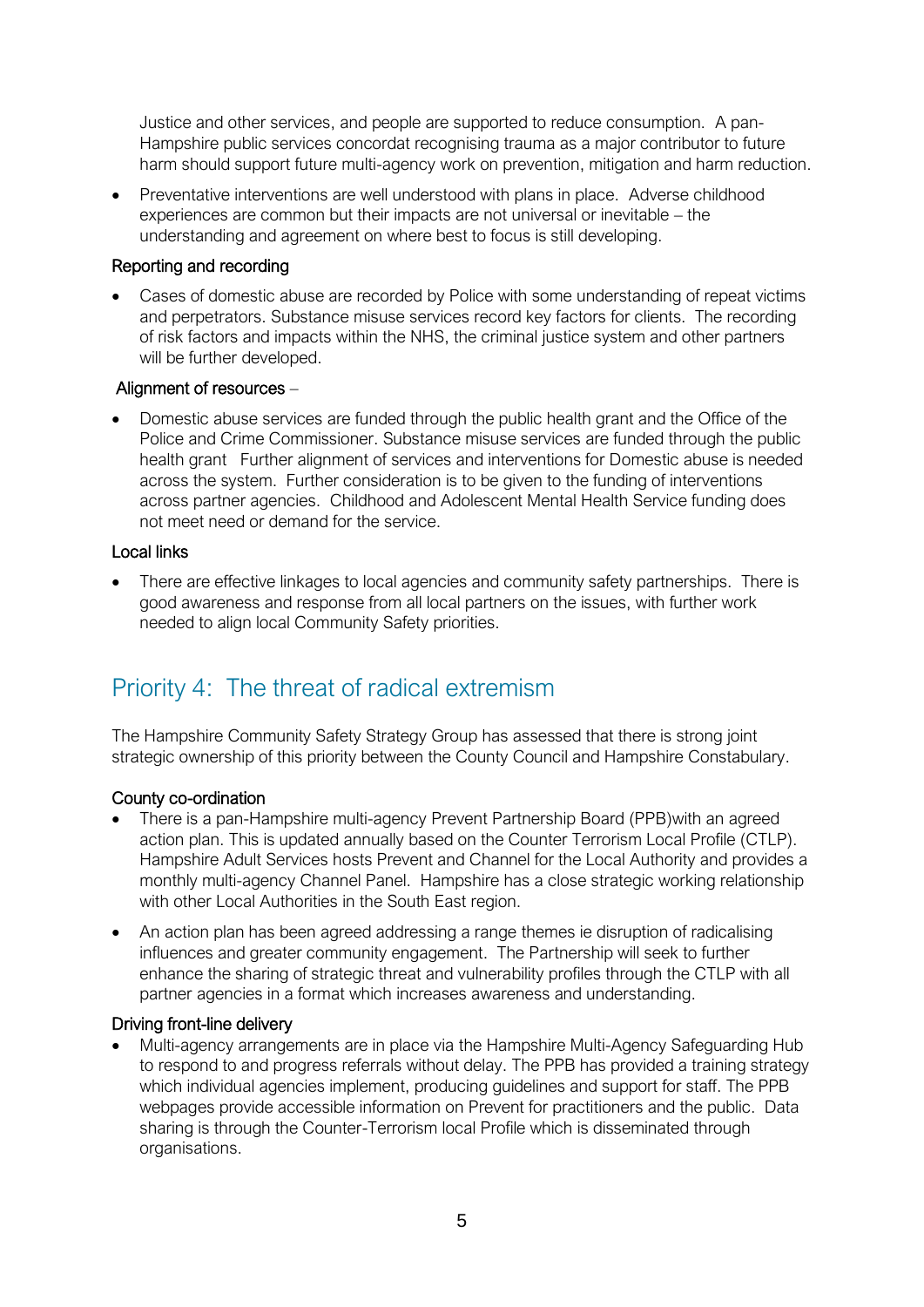Justice and other services, and people are supported to reduce consumption. A pan-Hampshire public services concordat recognising trauma as a major contributor to future harm should support future multi-agency work on prevention, mitigation and harm reduction.

• Preventative interventions are well understood with plans in place. Adverse childhood experiences are common but their impacts are not universal or inevitable – the understanding and agreement on where best to focus is still developing.

# Reporting and recording

• Cases of domestic abuse are recorded by Police with some understanding of repeat victims and perpetrators. Substance misuse services record key factors for clients. The recording of risk factors and impacts within the NHS, the criminal justice system and other partners will be further developed.

# Alignment of resources –

• Domestic abuse services are funded through the public health grant and the Office of the Police and Crime Commissioner. Substance misuse services are funded through the public health grant Further alignment of services and interventions for Domestic abuse is needed across the system. Further consideration is to be given to the funding of interventions across partner agencies. Childhood and Adolescent Mental Health Service funding does not meet need or demand for the service.

# Local links

• There are effective linkages to local agencies and community safety partnerships. There is good awareness and response from all local partners on the issues, with further work needed to align local Community Safety priorities.

# Priority 4: The threat of radical extremism

The Hampshire Community Safety Strategy Group has assessed that there is strong joint strategic ownership of this priority between the County Council and Hampshire Constabulary.

## County co-ordination

- There is a pan-Hampshire multi-agency Prevent Partnership Board (PPB) with an agreed action plan. This is updated annually based on the Counter Terrorism Local Profile (CTLP). Hampshire Adult Services hosts Prevent and Channel for the Local Authority and provides a monthly multi-agency Channel Panel. Hampshire has a close strategic working relationship with other Local Authorities in the South East region.
- An action plan has been agreed addressing a range themes ie disruption of radicalising influences and greater community engagement. The Partnership will seek to further enhance the sharing of strategic threat and vulnerability profiles through the CTLP with all partner agencies in a format which increases awareness and understanding.

## Driving front-line delivery

• Multi-agency arrangements are in place via the Hampshire Multi-Agency Safeguarding Hub to respond to and progress referrals without delay. The PPB has provided a training strategy which individual agencies implement, producing guidelines and support for staff. The PPB webpages provide accessible information on Prevent for practitioners and the public. Data sharing is through the Counter-Terrorism local Profile which is disseminated through organisations.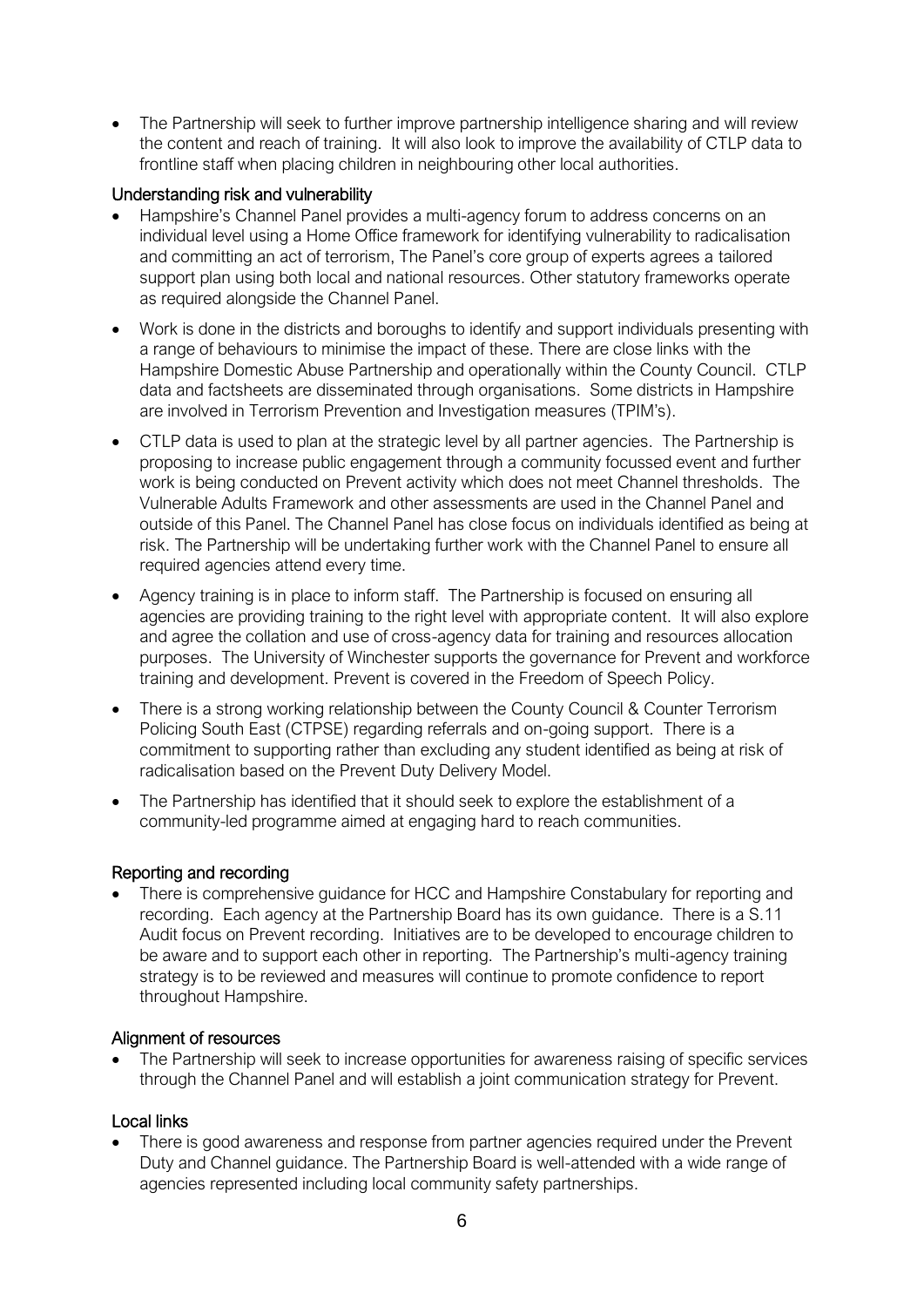• The Partnership will seek to further improve partnership intelligence sharing and will review the content and reach of training. It will also look to improve the availability of CTLP data to frontline staff when placing children in neighbouring other local authorities.

# Understanding risk and vulnerability

- Hampshire's Channel Panel provides a multi-agency forum to address concerns on an individual level using a Home Office framework for identifying vulnerability to radicalisation and committing an act of terrorism, The Panel's core group of experts agrees a tailored support plan using both local and national resources. Other statutory frameworks operate as required alongside the Channel Panel.
- Work is done in the districts and boroughs to identify and support individuals presenting with a range of behaviours to minimise the impact of these. There are close links with the Hampshire Domestic Abuse Partnership and operationally within the County Council. CTLP data and factsheets are disseminated through organisations. Some districts in Hampshire are involved in Terrorism Prevention and Investigation measures (TPIM's).
- CTLP data is used to plan at the strategic level by all partner agencies. The Partnership is proposing to increase public engagement through a community focussed event and further work is being conducted on Prevent activity which does not meet Channel thresholds. The Vulnerable Adults Framework and other assessments are used in the Channel Panel and outside of this Panel. The Channel Panel has close focus on individuals identified as being at risk. The Partnership will be undertaking further work with the Channel Panel to ensure all required agencies attend every time.
- Agency training is in place to inform staff. The Partnership is focused on ensuring all agencies are providing training to the right level with appropriate content. It will also explore and agree the collation and use of cross-agency data for training and resources allocation purposes. The University of Winchester supports the governance for Prevent and workforce training and development. Prevent is covered in the Freedom of Speech Policy.
- There is a strong working relationship between the County Council & Counter Terrorism Policing South East (CTPSE) regarding referrals and on-going support. There is a commitment to supporting rather than excluding any student identified as being at risk of radicalisation based on the Prevent Duty Delivery Model.
- The Partnership has identified that it should seek to explore the establishment of a community-led programme aimed at engaging hard to reach communities.

## Reporting and recording

• There is comprehensive guidance for HCC and Hampshire Constabulary for reporting and recording. Each agency at the Partnership Board has its own guidance. There is a S.11 Audit focus on Prevent recording. Initiatives are to be developed to encourage children to be aware and to support each other in reporting. The Partnership's multi-agency training strategy is to be reviewed and measures will continue to promote confidence to report throughout Hampshire.

## Alignment of resources

• The Partnership will seek to increase opportunities for awareness raising of specific services through the Channel Panel and will establish a joint communication strategy for Prevent.

# Local links

• There is good awareness and response from partner agencies required under the Prevent Duty and Channel guidance. The Partnership Board is well-attended with a wide range of agencies represented including local community safety partnerships.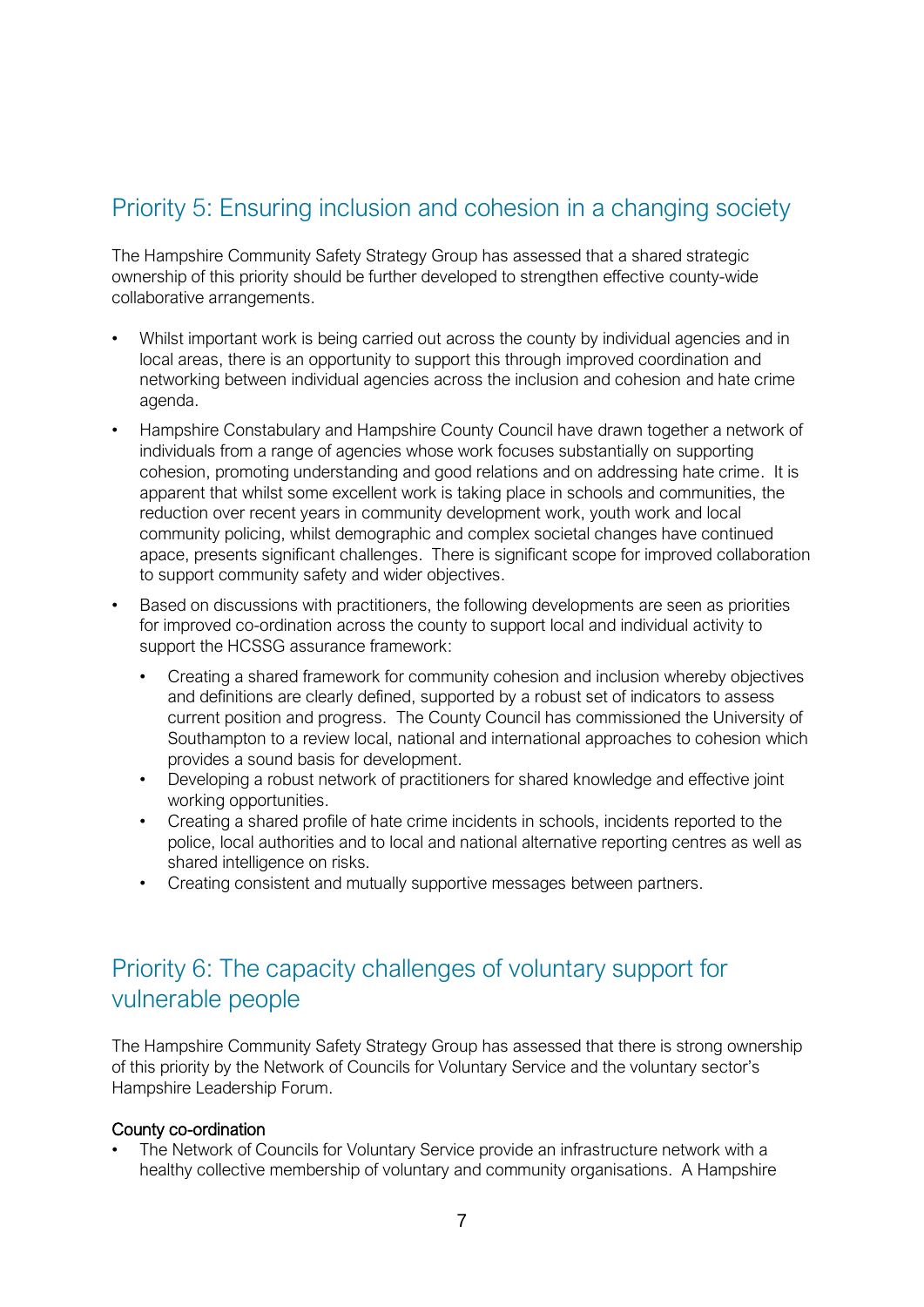# Priority 5: Ensuring inclusion and cohesion in a changing society

The Hampshire Community Safety Strategy Group has assessed that a shared strategic ownership of this priority should be further developed to strengthen effective county-wide collaborative arrangements.

- Whilst important work is being carried out across the county by individual agencies and in local areas, there is an opportunity to support this through improved coordination and networking between individual agencies across the inclusion and cohesion and hate crime agenda.
- Hampshire Constabulary and Hampshire County Council have drawn together a network of individuals from a range of agencies whose work focuses substantially on supporting cohesion, promoting understanding and good relations and on addressing hate crime. It is apparent that whilst some excellent work is taking place in schools and communities, the reduction over recent years in community development work, youth work and local community policing, whilst demographic and complex societal changes have continued apace, presents significant challenges. There is significant scope for improved collaboration to support community safety and wider objectives.
- Based on discussions with practitioners, the following developments are seen as priorities for improved co-ordination across the county to support local and individual activity to support the HCSSG assurance framework:
	- Creating a shared framework for community cohesion and inclusion whereby objectives and definitions are clearly defined, supported by a robust set of indicators to assess current position and progress. The County Council has commissioned the University of Southampton to a review local, national and international approaches to cohesion which provides a sound basis for development.
	- Developing a robust network of practitioners for shared knowledge and effective joint working opportunities.
	- Creating a shared profile of hate crime incidents in schools, incidents reported to the police, local authorities and to local and national alternative reporting centres as well as shared intelligence on risks.
	- Creating consistent and mutually supportive messages between partners.

# Priority 6: The capacity challenges of voluntary support for vulnerable people

The Hampshire Community Safety Strategy Group has assessed that there is strong ownership of this priority by the Network of Councils for Voluntary Service and the voluntary sector's Hampshire Leadership Forum.

## County co-ordination

• The Network of Councils for Voluntary Service provide an infrastructure network with a healthy collective membership of voluntary and community organisations. A Hampshire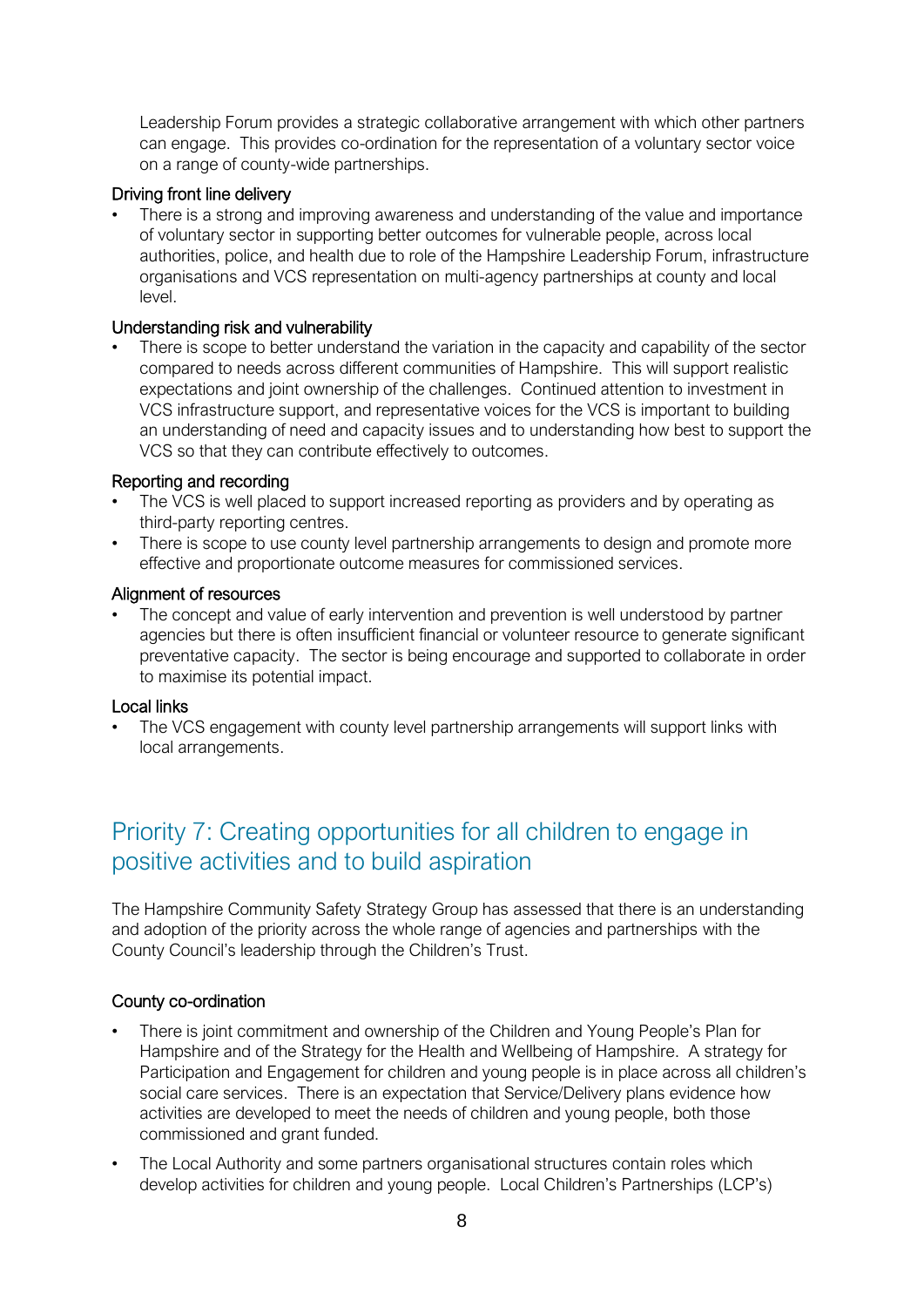Leadership Forum provides a strategic collaborative arrangement with which other partners can engage. This provides co-ordination for the representation of a voluntary sector voice on a range of county-wide partnerships.

# Driving front line delivery

There is a strong and improving awareness and understanding of the value and importance of voluntary sector in supporting better outcomes for vulnerable people, across local authorities, police, and health due to role of the Hampshire Leadership Forum, infrastructure organisations and VCS representation on multi-agency partnerships at county and local level.

# Understanding risk and vulnerability

• There is scope to better understand the variation in the capacity and capability of the sector compared to needs across different communities of Hampshire. This will support realistic expectations and joint ownership of the challenges. Continued attention to investment in VCS infrastructure support, and representative voices for the VCS is important to building an understanding of need and capacity issues and to understanding how best to support the VCS so that they can contribute effectively to outcomes.

# Reporting and recording

- The VCS is well placed to support increased reporting as providers and by operating as third-party reporting centres.
- There is scope to use county level partnership arrangements to design and promote more effective and proportionate outcome measures for commissioned services.

## Alignment of resources

The concept and value of early intervention and prevention is well understood by partner agencies but there is often insufficient financial or volunteer resource to generate significant preventative capacity. The sector is being encourage and supported to collaborate in order to maximise its potential impact.

## Local links

The VCS engagement with county level partnership arrangements will support links with local arrangements.

# Priority 7: Creating opportunities for all children to engage in positive activities and to build aspiration

The Hampshire Community Safety Strategy Group has assessed that there is an understanding and adoption of the priority across the whole range of agencies and partnerships with the County Council's leadership through the Children's Trust.

## County co-ordination

- There is joint commitment and ownership of the Children and Young People's Plan for Hampshire and of the Strategy for the Health and Wellbeing of Hampshire. A strategy for Participation and Engagement for children and young people is in place across all children's social care services. There is an expectation that Service/Delivery plans evidence how activities are developed to meet the needs of children and young people, both those commissioned and grant funded.
- The Local Authority and some partners organisational structures contain roles which develop activities for children and young people. Local Children's Partnerships (LCP's)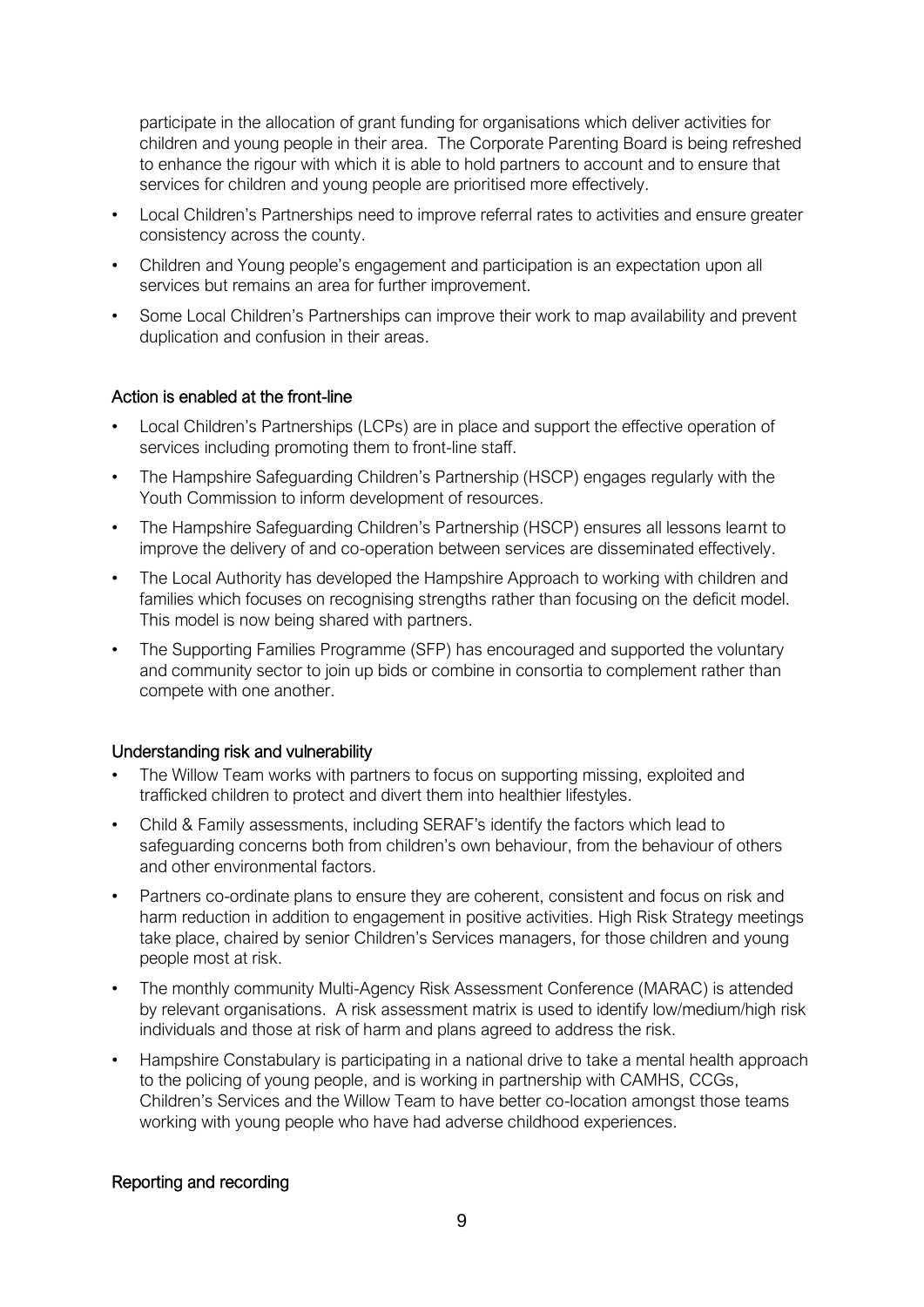participate in the allocation of grant funding for organisations which deliver activities for children and young people in their area. The Corporate Parenting Board is being refreshed to enhance the rigour with which it is able to hold partners to account and to ensure that services for children and young people are prioritised more effectively.

- Local Children's Partnerships need to improve referral rates to activities and ensure greater consistency across the county.
- Children and Young people's engagement and participation is an expectation upon all services but remains an area for further improvement.
- Some Local Children's Partnerships can improve their work to map availability and prevent duplication and confusion in their areas.

# Action is enabled at the front-line

- Local Children's Partnerships (LCPs) are in place and support the effective operation of services including promoting them to front-line staff.
- The Hampshire Safeguarding Children's Partnership (HSCP) engages regularly with the Youth Commission to inform development of resources.
- The Hampshire Safeguarding Children's Partnership (HSCP) ensures all lessons learnt to improve the delivery of and co-operation between services are disseminated effectively.
- The Local Authority has developed the Hampshire Approach to working with children and families which focuses on recognising strengths rather than focusing on the deficit model. This model is now being shared with partners.
- The Supporting Families Programme (SFP) has encouraged and supported the voluntary and community sector to join up bids or combine in consortia to complement rather than compete with one another.

## Understanding risk and vulnerability

- The Willow Team works with partners to focus on supporting missing, exploited and trafficked children to protect and divert them into healthier lifestyles.
- Child & Family assessments, including SERAF's identify the factors which lead to safeguarding concerns both from children's own behaviour, from the behaviour of others and other environmental factors.
- Partners co-ordinate plans to ensure they are coherent, consistent and focus on risk and harm reduction in addition to engagement in positive activities. High Risk Strategy meetings take place, chaired by senior Children's Services managers, for those children and young people most at risk.
- The monthly community Multi-Agency Risk Assessment Conference (MARAC) is attended by relevant organisations. A risk assessment matrix is used to identify low/medium/high risk individuals and those at risk of harm and plans agreed to address the risk.
- Hampshire Constabulary is participating in a national drive to take a mental health approach to the policing of young people, and is working in partnership with CAMHS, CCGs, Children's Services and the Willow Team to have better co-location amongst those teams working with young people who have had adverse childhood experiences.

# Reporting and recording